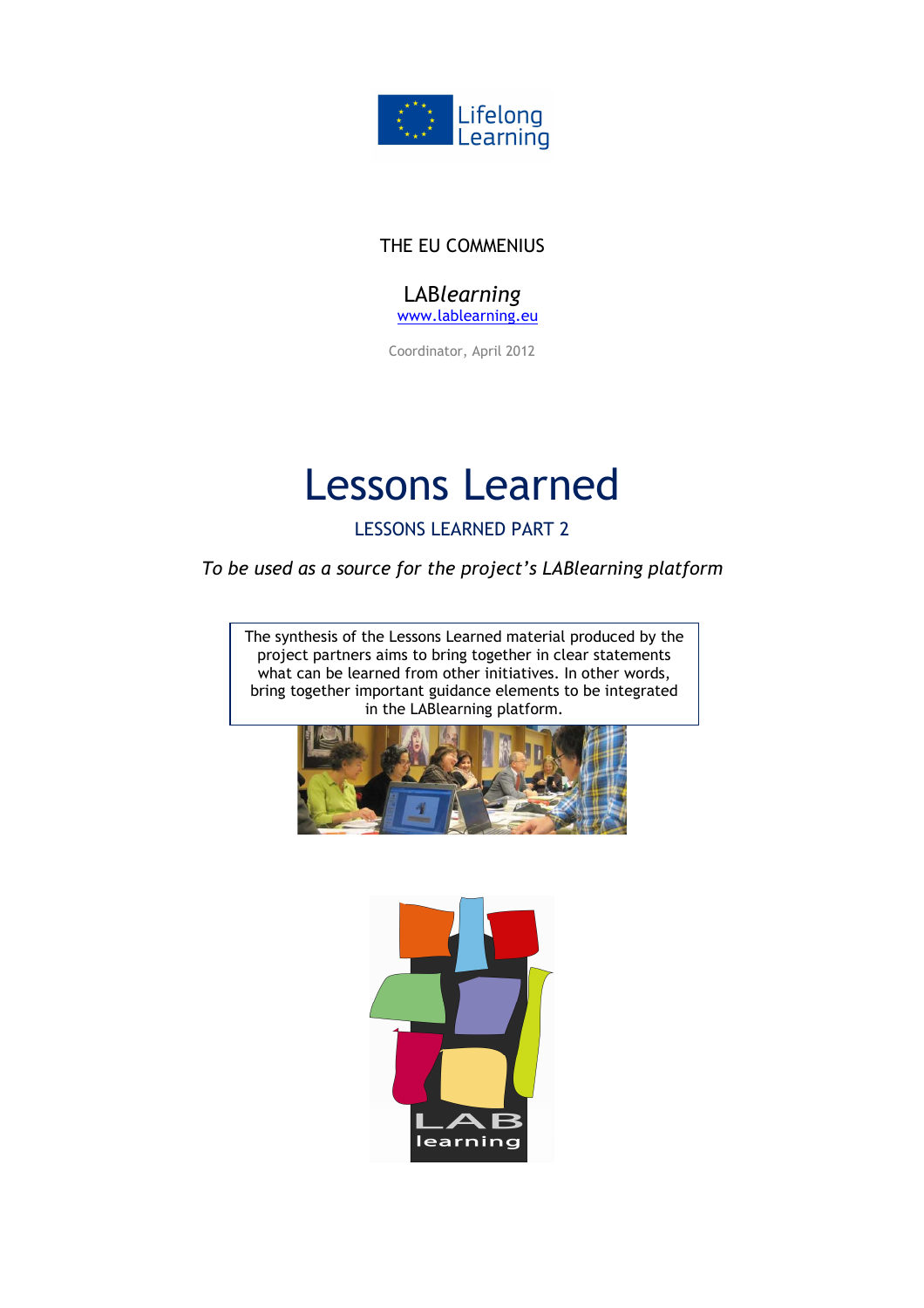

## THE EU COMMENIUS

LAB*learning* www.lablearning.eu

Coordinator, April 2012

# Lessons Learned

LESSONS LEARNED PART 2

*To be used as a source for the project's LABlearning platform*

The synthesis of the Lessons Learned material produced by the project partners aims to bring together in clear statements what can be learned from other initiatives. In other words, bring together important guidance elements to be integrated in the LABlearning platform.



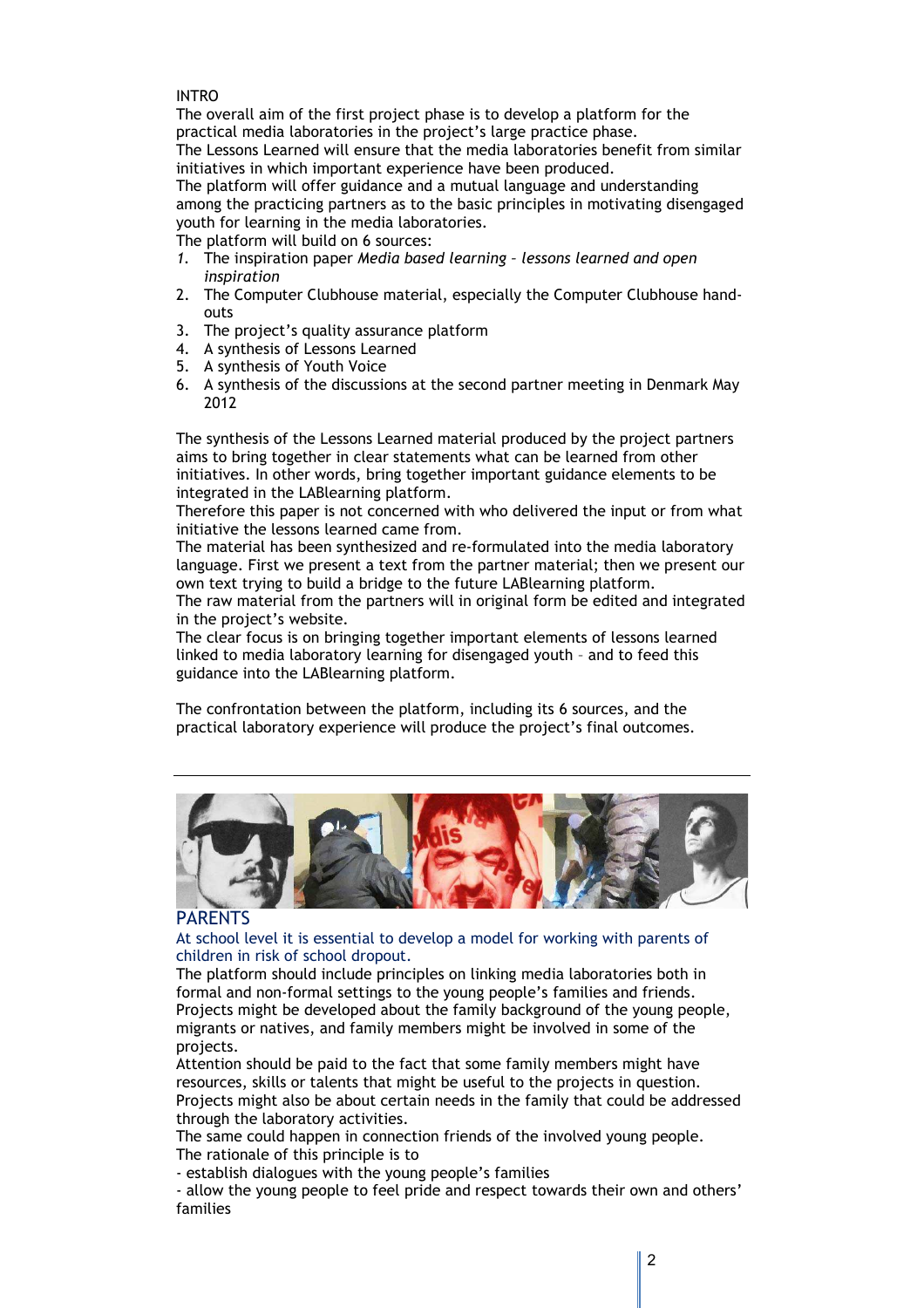#### INTRO

The overall aim of the first project phase is to develop a platform for the practical media laboratories in the project's large practice phase.

The Lessons Learned will ensure that the media laboratories benefit from similar initiatives in which important experience have been produced.

The platform will offer guidance and a mutual language and understanding among the practicing partners as to the basic principles in motivating disengaged youth for learning in the media laboratories.

The platform will build on 6 sources:

- *1.* The inspiration paper *Media based learning lessons learned and open inspiration*
- 2. The Computer Clubhouse material, especially the Computer Clubhouse handouts
- 3. The project's quality assurance platform
- 4. A synthesis of Lessons Learned
- 5. A synthesis of Youth Voice
- 6. A synthesis of the discussions at the second partner meeting in Denmark May 2012

The synthesis of the Lessons Learned material produced by the project partners aims to bring together in clear statements what can be learned from other initiatives. In other words, bring together important guidance elements to be integrated in the LABlearning platform.

Therefore this paper is not concerned with who delivered the input or from what initiative the lessons learned came from.

The material has been synthesized and re-formulated into the media laboratory language. First we present a text from the partner material; then we present our own text trying to build a bridge to the future LABlearning platform.

The raw material from the partners will in original form be edited and integrated in the project's website.

The clear focus is on bringing together important elements of lessons learned linked to media laboratory learning for disengaged youth – and to feed this guidance into the LABlearning platform.

The confrontation between the platform, including its 6 sources, and the practical laboratory experience will produce the project's final outcomes.



#### PARENTS

At school level it is essential to develop a model for working with parents of children in risk of school dropout.

The platform should include principles on linking media laboratories both in formal and non-formal settings to the young people's families and friends. Projects might be developed about the family background of the young people, migrants or natives, and family members might be involved in some of the projects.

Attention should be paid to the fact that some family members might have resources, skills or talents that might be useful to the projects in question. Projects might also be about certain needs in the family that could be addressed through the laboratory activities.

The same could happen in connection friends of the involved young people. The rationale of this principle is to

- establish dialogues with the young people's families

- allow the young people to feel pride and respect towards their own and others' families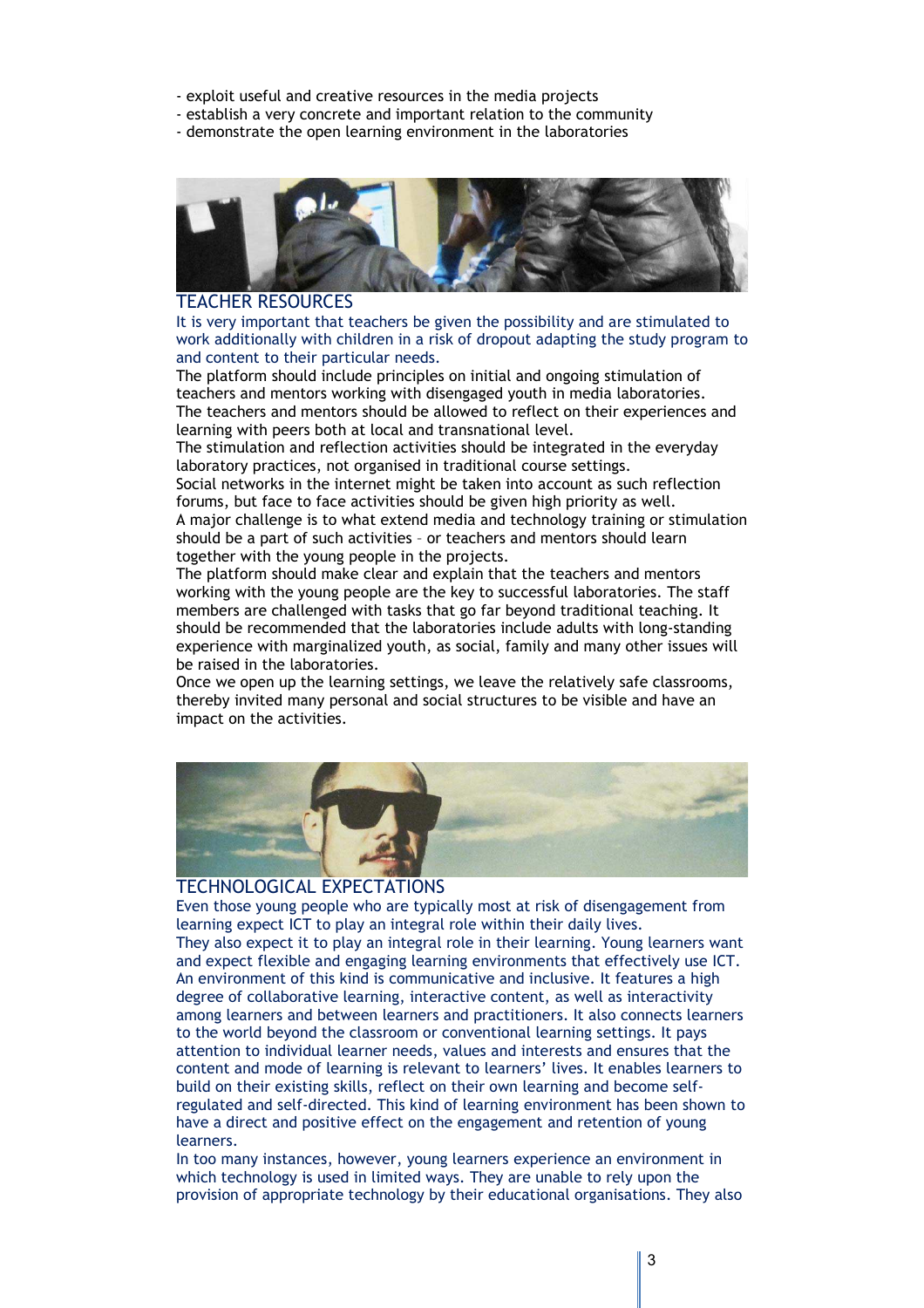- exploit useful and creative resources in the media projects
- establish a very concrete and important relation to the community
- demonstrate the open learning environment in the laboratories



#### TEACHER RESOURCES

It is very important that teachers be given the possibility and are stimulated to work additionally with children in a risk of dropout adapting the study program to and content to their particular needs.

The platform should include principles on initial and ongoing stimulation of teachers and mentors working with disengaged youth in media laboratories. The teachers and mentors should be allowed to reflect on their experiences and learning with peers both at local and transnational level.

The stimulation and reflection activities should be integrated in the everyday laboratory practices, not organised in traditional course settings.

Social networks in the internet might be taken into account as such reflection forums, but face to face activities should be given high priority as well. A major challenge is to what extend media and technology training or stimulation should be a part of such activities – or teachers and mentors should learn together with the young people in the projects.

The platform should make clear and explain that the teachers and mentors working with the young people are the key to successful laboratories. The staff members are challenged with tasks that go far beyond traditional teaching. It should be recommended that the laboratories include adults with long-standing experience with marginalized youth, as social, family and many other issues will be raised in the laboratories.

Once we open up the learning settings, we leave the relatively safe classrooms, thereby invited many personal and social structures to be visible and have an impact on the activities.



#### TECHNOLOGICAL EXPECTATIONS

Even those young people who are typically most at risk of disengagement from learning expect ICT to play an integral role within their daily lives. They also expect it to play an integral role in their learning. Young learners want and expect flexible and engaging learning environments that effectively use ICT. An environment of this kind is communicative and inclusive. It features a high degree of collaborative learning, interactive content, as well as interactivity among learners and between learners and practitioners. It also connects learners to the world beyond the classroom or conventional learning settings. It pays attention to individual learner needs, values and interests and ensures that the content and mode of learning is relevant to learners' lives. It enables learners to build on their existing skills, reflect on their own learning and become selfregulated and self-directed. This kind of learning environment has been shown to have a direct and positive effect on the engagement and retention of young learners.

In too many instances, however, young learners experience an environment in which technology is used in limited ways. They are unable to rely upon the provision of appropriate technology by their educational organisations. They also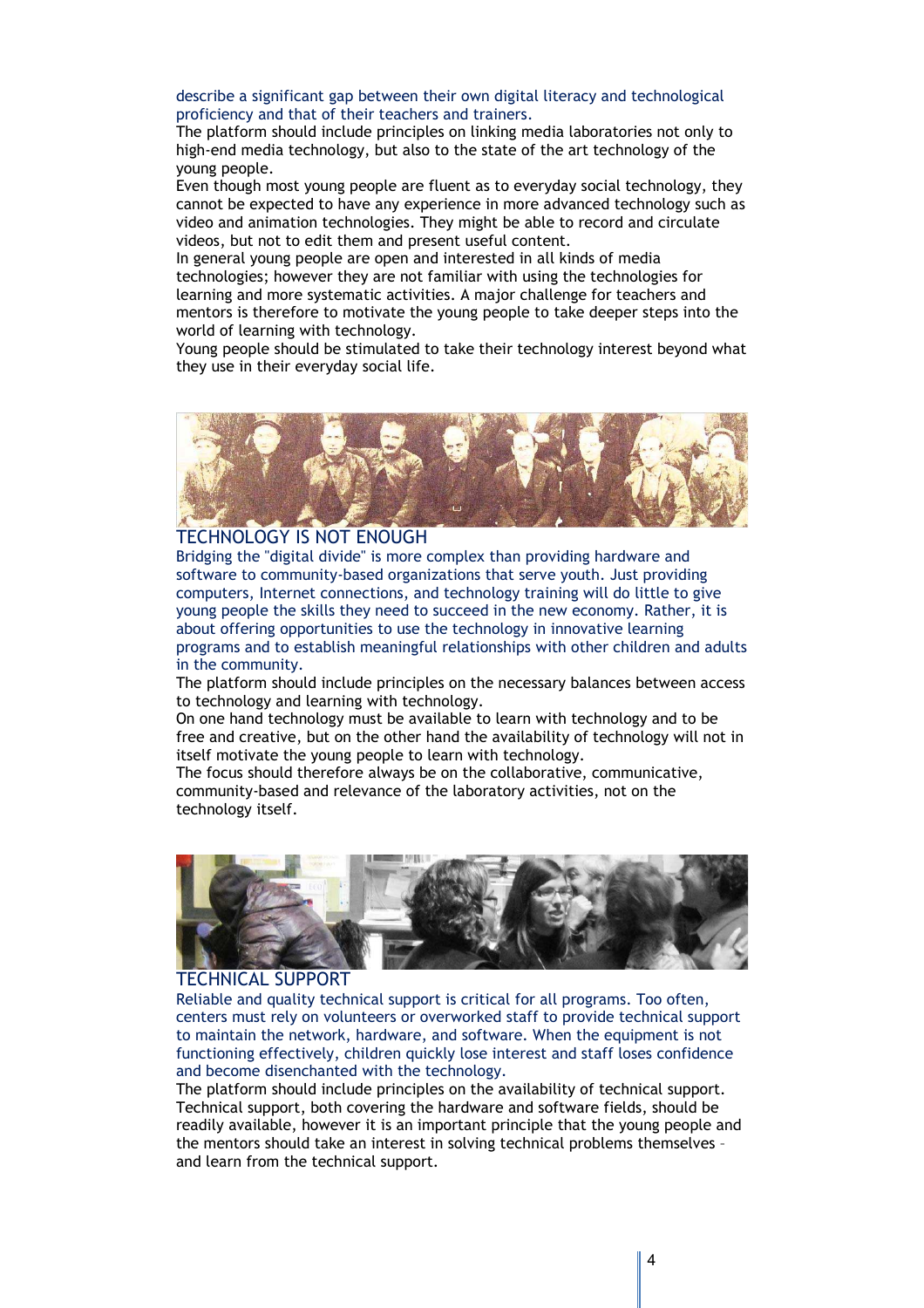describe a significant gap between their own digital literacy and technological proficiency and that of their teachers and trainers.

The platform should include principles on linking media laboratories not only to high-end media technology, but also to the state of the art technology of the young people.

Even though most young people are fluent as to everyday social technology, they cannot be expected to have any experience in more advanced technology such as video and animation technologies. They might be able to record and circulate videos, but not to edit them and present useful content.

In general young people are open and interested in all kinds of media technologies; however they are not familiar with using the technologies for learning and more systematic activities. A major challenge for teachers and mentors is therefore to motivate the young people to take deeper steps into the world of learning with technology.

Young people should be stimulated to take their technology interest beyond what they use in their everyday social life.



## TECHNOLOGY IS NOT ENOUGH

Bridging the "digital divide" is more complex than providing hardware and software to community-based organizations that serve youth. Just providing computers, Internet connections, and technology training will do little to give young people the skills they need to succeed in the new economy. Rather, it is about offering opportunities to use the technology in innovative learning programs and to establish meaningful relationships with other children and adults in the community.

The platform should include principles on the necessary balances between access to technology and learning with technology.

On one hand technology must be available to learn with technology and to be free and creative, but on the other hand the availability of technology will not in itself motivate the young people to learn with technology.

The focus should therefore always be on the collaborative, communicative, community-based and relevance of the laboratory activities, not on the technology itself.



## TECHNICAL SUPPORT

Reliable and quality technical support is critical for all programs. Too often, centers must rely on volunteers or overworked staff to provide technical support to maintain the network, hardware, and software. When the equipment is not functioning effectively, children quickly lose interest and staff loses confidence and become disenchanted with the technology.

The platform should include principles on the availability of technical support. Technical support, both covering the hardware and software fields, should be readily available, however it is an important principle that the young people and the mentors should take an interest in solving technical problems themselves – and learn from the technical support.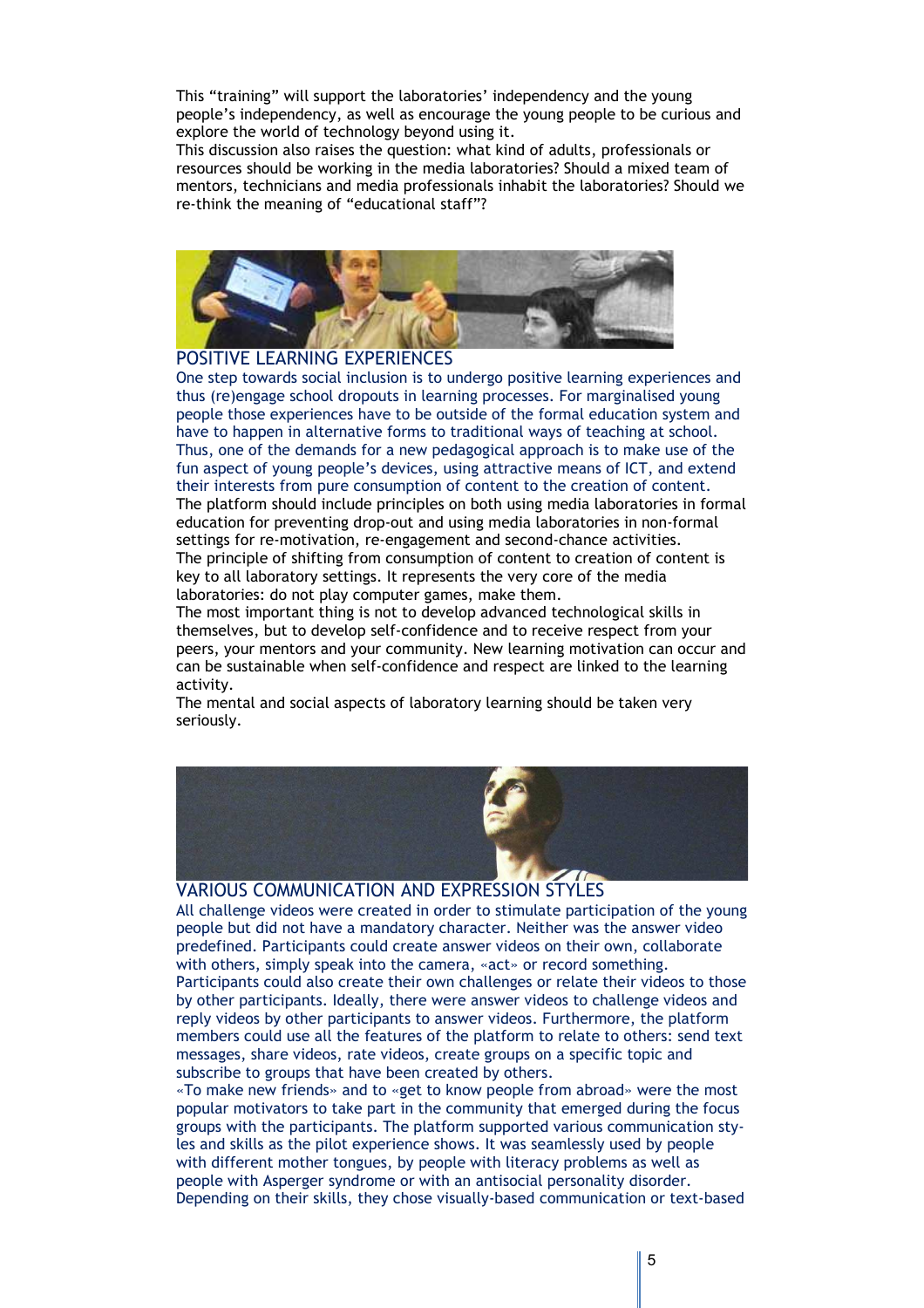This "training" will support the laboratories' independency and the young people's independency, as well as encourage the young people to be curious and explore the world of technology beyond using it.

This discussion also raises the question: what kind of adults, professionals or resources should be working in the media laboratories? Should a mixed team of mentors, technicians and media professionals inhabit the laboratories? Should we re-think the meaning of "educational staff"?



#### POSITIVE LEARNING EXPERIENCES

One step towards social inclusion is to undergo positive learning experiences and thus (re)engage school dropouts in learning processes. For marginalised young people those experiences have to be outside of the formal education system and have to happen in alternative forms to traditional ways of teaching at school. Thus, one of the demands for a new pedagogical approach is to make use of the fun aspect of young people's devices, using attractive means of ICT, and extend their interests from pure consumption of content to the creation of content. The platform should include principles on both using media laboratories in formal education for preventing drop-out and using media laboratories in non-formal settings for re-motivation, re-engagement and second-chance activities. The principle of shifting from consumption of content to creation of content is key to all laboratory settings. It represents the very core of the media laboratories: do not play computer games, make them.

The most important thing is not to develop advanced technological skills in themselves, but to develop self-confidence and to receive respect from your peers, your mentors and your community. New learning motivation can occur and can be sustainable when self-confidence and respect are linked to the learning activity.

The mental and social aspects of laboratory learning should be taken very seriously.



## VARIOUS COMMUNICATION AND EXPRESSION STYLES

All challenge videos were created in order to stimulate participation of the young people but did not have a mandatory character. Neither was the answer video predefined. Participants could create answer videos on their own, collaborate with others, simply speak into the camera, «act» or record something. Participants could also create their own challenges or relate their videos to those by other participants. Ideally, there were answer videos to challenge videos and reply videos by other participants to answer videos. Furthermore, the platform members could use all the features of the platform to relate to others: send text messages, share videos, rate videos, create groups on a specific topic and subscribe to groups that have been created by others.

«To make new friends» and to «get to know people from abroad» were the most popular motivators to take part in the community that emerged during the focus groups with the participants. The platform supported various communication styles and skills as the pilot experience shows. It was seamlessly used by people with different mother tongues, by people with literacy problems as well as people with Asperger syndrome or with an antisocial personality disorder. Depending on their skills, they chose visually-based communication or text-based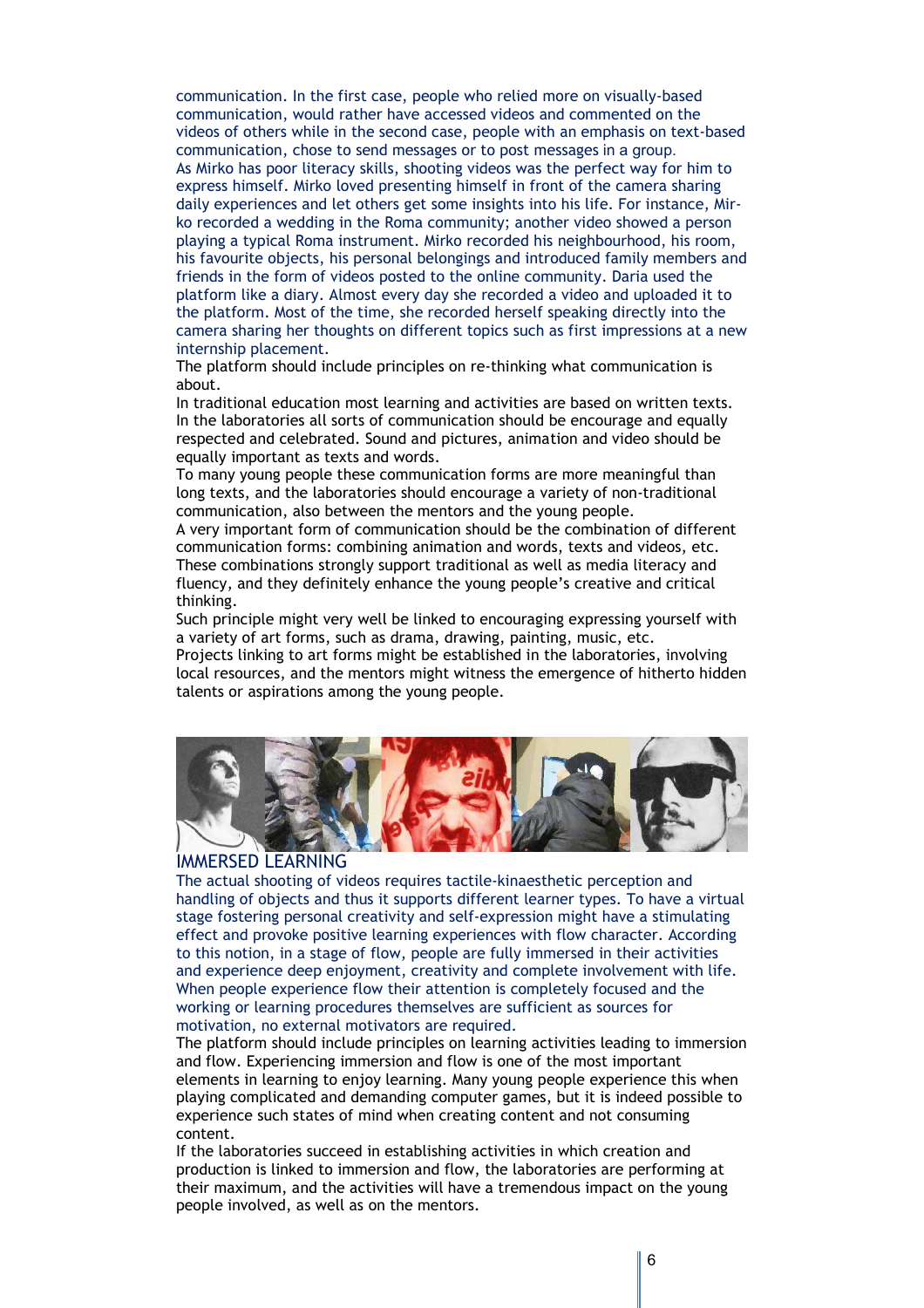communication. In the first case, people who relied more on visually-based communication, would rather have accessed videos and commented on the videos of others while in the second case, people with an emphasis on text-based communication, chose to send messages or to post messages in a group. As Mirko has poor literacy skills, shooting videos was the perfect way for him to express himself. Mirko loved presenting himself in front of the camera sharing daily experiences and let others get some insights into his life. For instance, Mirko recorded a wedding in the Roma community; another video showed a person playing a typical Roma instrument. Mirko recorded his neighbourhood, his room, his favourite objects, his personal belongings and introduced family members and friends in the form of videos posted to the online community. Daria used the platform like a diary. Almost every day she recorded a video and uploaded it to the platform. Most of the time, she recorded herself speaking directly into the camera sharing her thoughts on different topics such as first impressions at a new internship placement.

The platform should include principles on re-thinking what communication is about.

In traditional education most learning and activities are based on written texts. In the laboratories all sorts of communication should be encourage and equally respected and celebrated. Sound and pictures, animation and video should be equally important as texts and words.

To many young people these communication forms are more meaningful than long texts, and the laboratories should encourage a variety of non-traditional communication, also between the mentors and the young people.

A very important form of communication should be the combination of different communication forms: combining animation and words, texts and videos, etc. These combinations strongly support traditional as well as media literacy and fluency, and they definitely enhance the young people's creative and critical thinking.

Such principle might very well be linked to encouraging expressing yourself with a variety of art forms, such as drama, drawing, painting, music, etc.

Projects linking to art forms might be established in the laboratories, involving local resources, and the mentors might witness the emergence of hitherto hidden talents or aspirations among the young people.



## IMMERSED LEARNING

The actual shooting of videos requires tactile-kinaesthetic perception and handling of objects and thus it supports different learner types. To have a virtual stage fostering personal creativity and self-expression might have a stimulating effect and provoke positive learning experiences with flow character. According to this notion, in a stage of flow, people are fully immersed in their activities and experience deep enjoyment, creativity and complete involvement with life. When people experience flow their attention is completely focused and the working or learning procedures themselves are sufficient as sources for motivation, no external motivators are required.

The platform should include principles on learning activities leading to immersion and flow. Experiencing immersion and flow is one of the most important elements in learning to enjoy learning. Many young people experience this when playing complicated and demanding computer games, but it is indeed possible to experience such states of mind when creating content and not consuming content.

If the laboratories succeed in establishing activities in which creation and production is linked to immersion and flow, the laboratories are performing at their maximum, and the activities will have a tremendous impact on the young people involved, as well as on the mentors.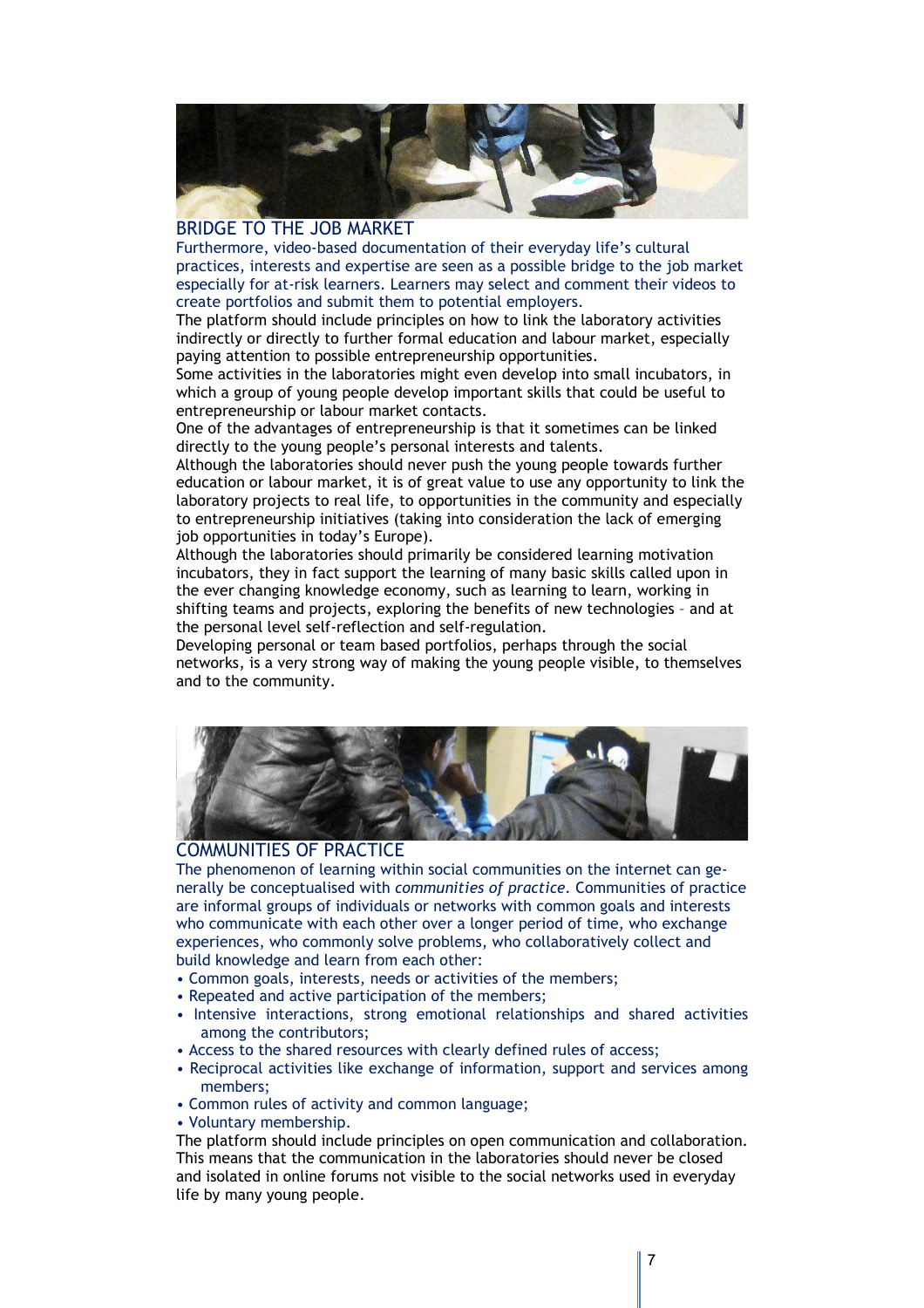

## BRIDGE TO THE JOB MARKET

Furthermore, video-based documentation of their everyday life's cultural practices, interests and expertise are seen as a possible bridge to the job market especially for at-risk learners. Learners may select and comment their videos to create portfolios and submit them to potential employers.

The platform should include principles on how to link the laboratory activities indirectly or directly to further formal education and labour market, especially paying attention to possible entrepreneurship opportunities.

Some activities in the laboratories might even develop into small incubators, in which a group of young people develop important skills that could be useful to entrepreneurship or labour market contacts.

One of the advantages of entrepreneurship is that it sometimes can be linked directly to the young people's personal interests and talents.

Although the laboratories should never push the young people towards further education or labour market, it is of great value to use any opportunity to link the laboratory projects to real life, to opportunities in the community and especially to entrepreneurship initiatives (taking into consideration the lack of emerging job opportunities in today's Europe).

Although the laboratories should primarily be considered learning motivation incubators, they in fact support the learning of many basic skills called upon in the ever changing knowledge economy, such as learning to learn, working in shifting teams and projects, exploring the benefits of new technologies – and at the personal level self-reflection and self-regulation.

Developing personal or team based portfolios, perhaps through the social networks, is a very strong way of making the young people visible, to themselves and to the community.



## COMMUNITIES OF PRACTICE

The phenomenon of learning within social communities on the internet can generally be conceptualised with *communities of practice.* Communities of practice are informal groups of individuals or networks with common goals and interests who communicate with each other over a longer period of time, who exchange experiences, who commonly solve problems, who collaboratively collect and build knowledge and learn from each other:

- Common goals, interests, needs or activities of the members;
- Repeated and active participation of the members;
- Intensive interactions, strong emotional relationships and shared activities among the contributors;
- Access to the shared resources with clearly defined rules of access;
- Reciprocal activities like exchange of information, support and services among members;
- Common rules of activity and common language;
- Voluntary membership.

The platform should include principles on open communication and collaboration. This means that the communication in the laboratories should never be closed and isolated in online forums not visible to the social networks used in everyday life by many young people.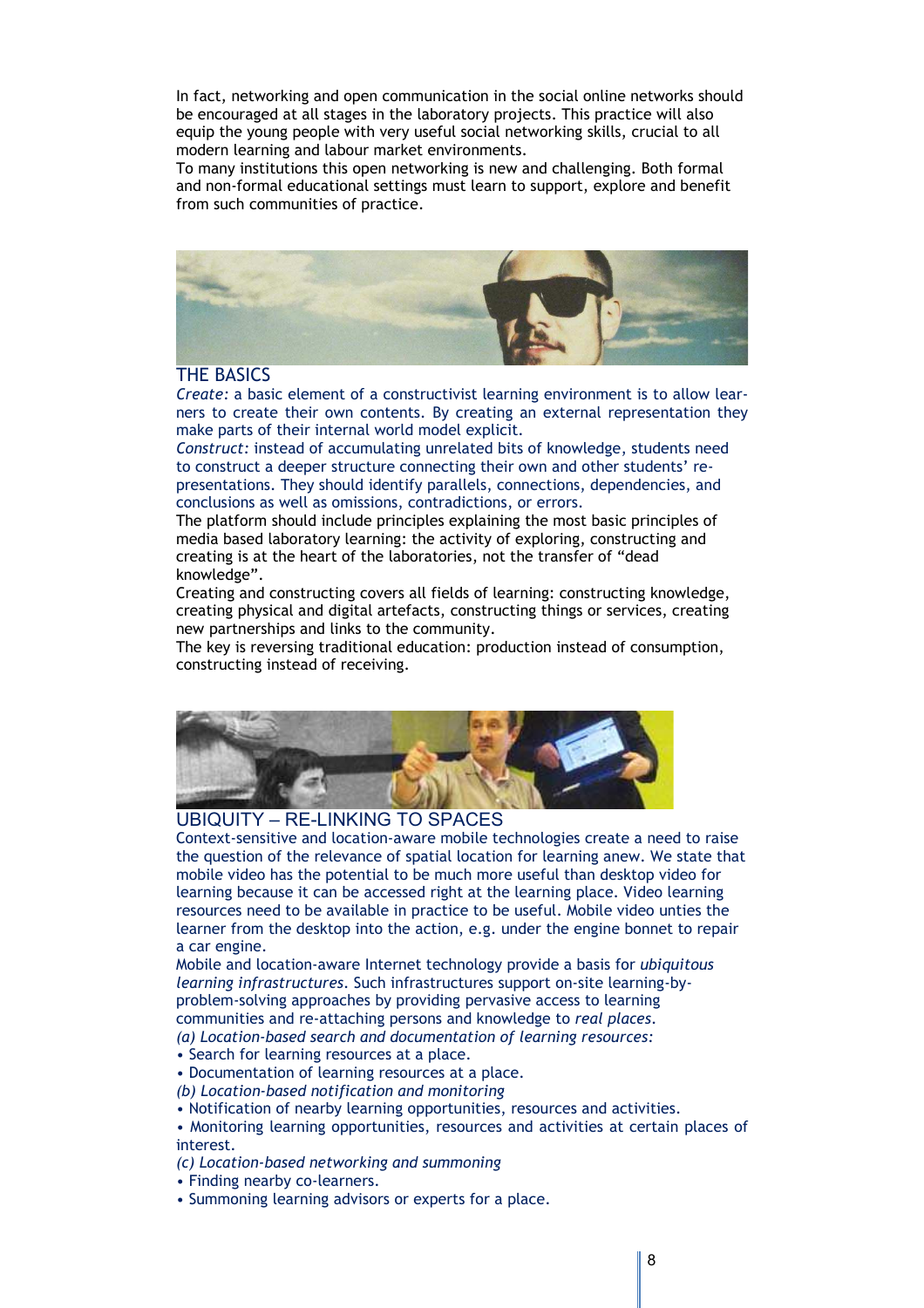In fact, networking and open communication in the social online networks should be encouraged at all stages in the laboratory projects. This practice will also equip the young people with very useful social networking skills, crucial to all modern learning and labour market environments.

To many institutions this open networking is new and challenging. Both formal and non-formal educational settings must learn to support, explore and benefit from such communities of practice.



## THE BASICS

*Create:* a basic element of a constructivist learning environment is to allow learners to create their own contents. By creating an external representation they make parts of their internal world model explicit.

*Construct:* instead of accumulating unrelated bits of knowledge, students need to construct a deeper structure connecting their own and other students' representations. They should identify parallels, connections, dependencies, and conclusions as well as omissions, contradictions, or errors.

The platform should include principles explaining the most basic principles of media based laboratory learning: the activity of exploring, constructing and creating is at the heart of the laboratories, not the transfer of "dead knowledge".

Creating and constructing covers all fields of learning: constructing knowledge, creating physical and digital artefacts, constructing things or services, creating new partnerships and links to the community.

The key is reversing traditional education: production instead of consumption, constructing instead of receiving.



## UBIQUITY – RE-LINKING TO SPACES

Context-sensitive and location-aware mobile technologies create a need to raise the question of the relevance of spatial location for learning anew. We state that mobile video has the potential to be much more useful than desktop video for learning because it can be accessed right at the learning place. Video learning resources need to be available in practice to be useful. Mobile video unties the learner from the desktop into the action, e.g. under the engine bonnet to repair a car engine.

Mobile and location-aware Internet technology provide a basis for *ubiquitous learning infrastructures*. Such infrastructures support on-site learning-byproblem-solving approaches by providing pervasive access to learning communities and re-attaching persons and knowledge to *real places*. *(a) Location-based search and documentation of learning resources:* 

• Search for learning resources at a place.

• Documentation of learning resources at a place.

*(b) Location-based notification and monitoring* 

• Notification of nearby learning opportunities, resources and activities.

• Monitoring learning opportunities, resources and activities at certain places of interest.

*(c) Location-based networking and summoning* 

- Finding nearby co-learners.
- Summoning learning advisors or experts for a place.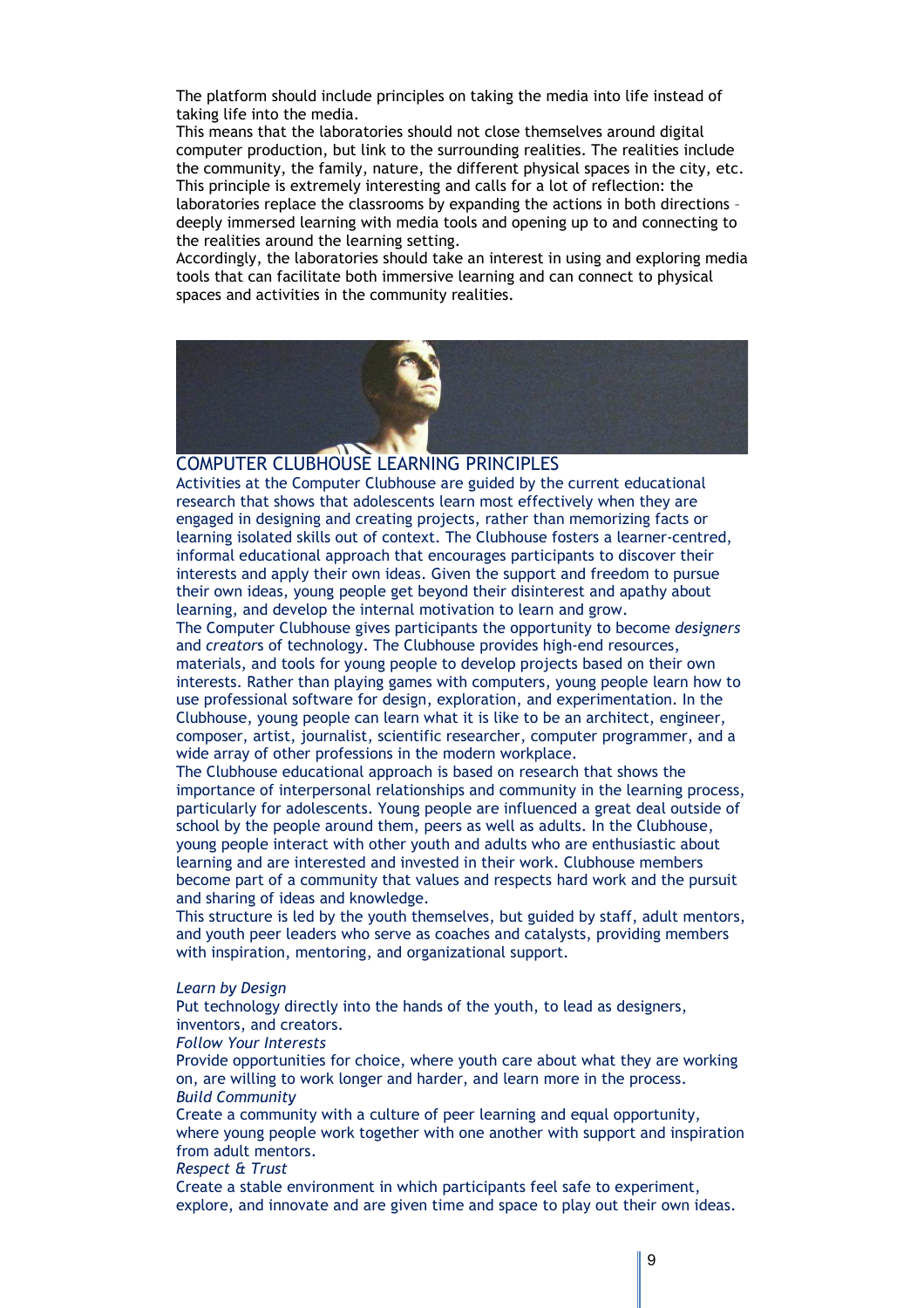The platform should include principles on taking the media into life instead of taking life into the media.

This means that the laboratories should not close themselves around digital computer production, but link to the surrounding realities. The realities include the community, the family, nature, the different physical spaces in the city, etc. This principle is extremely interesting and calls for a lot of reflection: the laboratories replace the classrooms by expanding the actions in both directions – deeply immersed learning with media tools and opening up to and connecting to the realities around the learning setting.

Accordingly, the laboratories should take an interest in using and exploring media tools that can facilitate both immersive learning and can connect to physical spaces and activities in the community realities.



#### COMPUTER CLUBHOUSE LEARNING PRINCIPLES

Activities at the Computer Clubhouse are guided by the current educational research that shows that adolescents learn most effectively when they are engaged in designing and creating projects, rather than memorizing facts or learning isolated skills out of context. The Clubhouse fosters a learner-centred, informal educational approach that encourages participants to discover their interests and apply their own ideas. Given the support and freedom to pursue their own ideas, young people get beyond their disinterest and apathy about learning, and develop the internal motivation to learn and grow.

The Computer Clubhouse gives participants the opportunity to become *designers* and *creator*s of technology. The Clubhouse provides high-end resources, materials, and tools for young people to develop projects based on their own interests. Rather than playing games with computers, young people learn how to use professional software for design, exploration, and experimentation. In the Clubhouse, young people can learn what it is like to be an architect, engineer, composer, artist, journalist, scientific researcher, computer programmer, and a wide array of other professions in the modern workplace.

The Clubhouse educational approach is based on research that shows the importance of interpersonal relationships and community in the learning process, particularly for adolescents. Young people are influenced a great deal outside of school by the people around them, peers as well as adults. In the Clubhouse, young people interact with other youth and adults who are enthusiastic about learning and are interested and invested in their work. Clubhouse members become part of a community that values and respects hard work and the pursuit and sharing of ideas and knowledge.

This structure is led by the youth themselves, but guided by staff, adult mentors, and youth peer leaders who serve as coaches and catalysts, providing members with inspiration, mentoring, and organizational support.

#### *Learn by Design*

Put technology directly into the hands of the youth, to lead as designers, inventors, and creators.

#### *Follow Your Interests*

Provide opportunities for choice, where youth care about what they are working on, are willing to work longer and harder, and learn more in the process. *Build Community* 

Create a community with a culture of peer learning and equal opportunity, where young people work together with one another with support and inspiration from adult mentors.

## *Respect & Trust*

Create a stable environment in which participants feel safe to experiment, explore, and innovate and are given time and space to play out their own ideas.